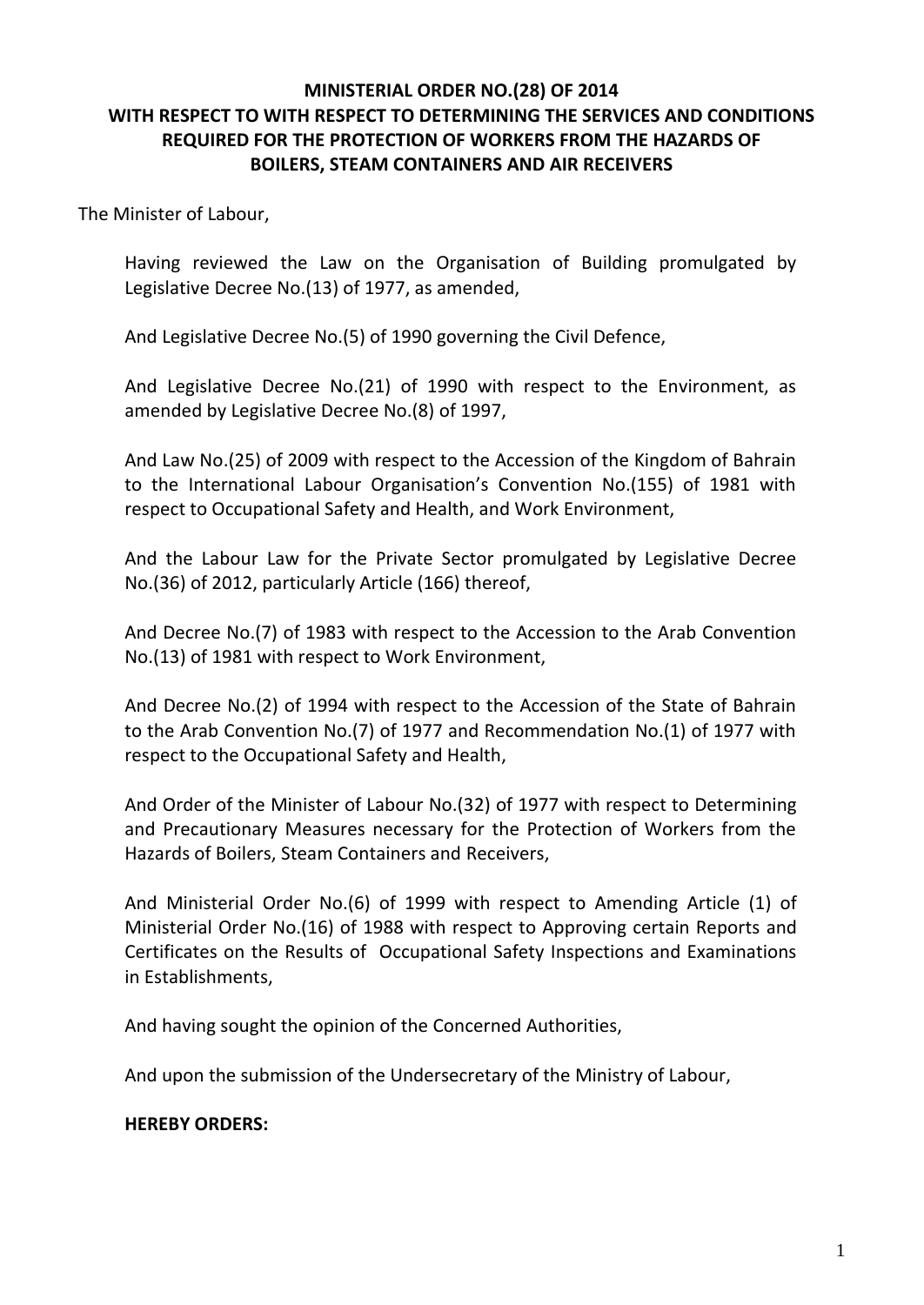### **MINISTERIAL ORDER NO.(28) OF 2014 WITH RESPECT TO WITH RESPECT TO DETERMINING THE SERVICES AND CONDITIONS REQUIRED FOR THE PROTECTION OF WORKERS FROM THE HAZARDS OF BOILERS, STEAM CONTAINERS AND AIR RECEIVERS**

The Minister of Labour,

Having reviewed the Law on the Organisation of Building promulgated by Legislative Decree No.(13) of 1977, as amended,

And Legislative Decree No.(5) of 1990 governing the Civil Defence,

And Legislative Decree No.(21) of 1990 with respect to the Environment, as amended by Legislative Decree No.(8) of 1997,

And Law No.(25) of 2009 with respect to the Accession of the Kingdom of Bahrain to the International Labour Organisation's Convention No.(155) of 1981 with respect to Occupational Safety and Health, and Work Environment,

And the Labour Law for the Private Sector promulgated by Legislative Decree No.(36) of 2012, particularly Article (166) thereof,

And Decree No.(7) of 1983 with respect to the Accession to the Arab Convention No.(13) of 1981 with respect to Work Environment,

And Decree No.(2) of 1994 with respect to the Accession of the State of Bahrain to the Arab Convention No.(7) of 1977 and Recommendation No.(1) of 1977 with respect to the Occupational Safety and Health,

And Order of the Minister of Labour No.(32) of 1977 with respect to Determining and Precautionary Measures necessary for the Protection of Workers from the Hazards of Boilers, Steam Containers and Receivers,

And Ministerial Order No.(6) of 1999 with respect to Amending Article (1) of Ministerial Order No.(16) of 1988 with respect to Approving certain Reports and Certificates on the Results of Occupational Safety Inspections and Examinations in Establishments,

And having sought the opinion of the Concerned Authorities,

And upon the submission of the Undersecretary of the Ministry of Labour,

#### **HEREBY ORDERS:**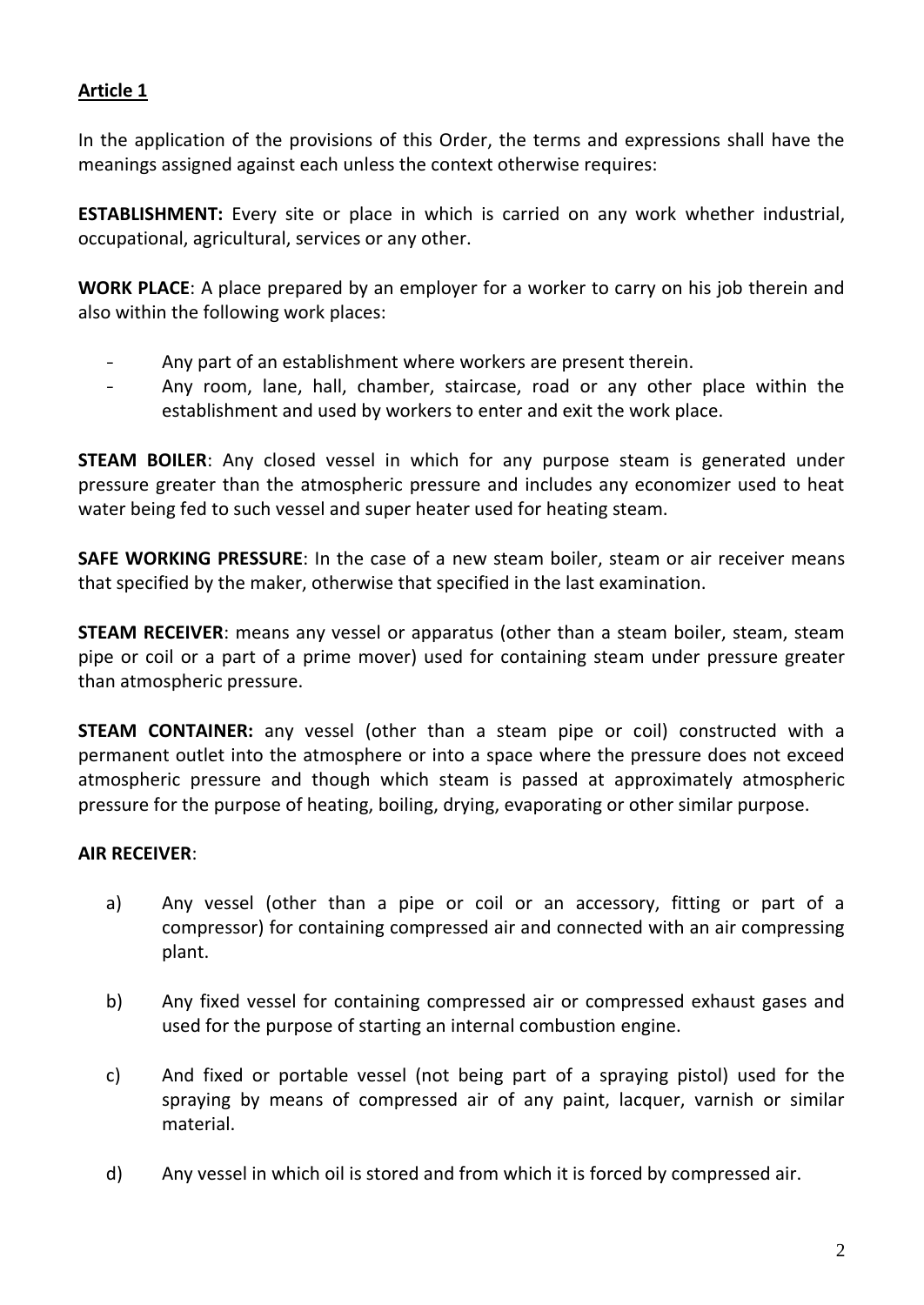### **Article 1**

In the application of the provisions of this Order, the terms and expressions shall have the meanings assigned against each unless the context otherwise requires:

**ESTABLISHMENT:** Every site or place in which is carried on any work whether industrial, occupational, agricultural, services or any other.

**WORK PLACE**: A place prepared by an employer for a worker to carry on his job therein and also within the following work places:

- Any part of an establishment where workers are present therein.
- Any room, lane, hall, chamber, staircase, road or any other place within the establishment and used by workers to enter and exit the work place.

**STEAM BOILER:** Any closed vessel in which for any purpose steam is generated under pressure greater than the atmospheric pressure and includes any economizer used to heat water being fed to such vessel and super heater used for heating steam.

**SAFE WORKING PRESSURE**: In the case of a new steam boiler, steam or air receiver means that specified by the maker, otherwise that specified in the last examination.

**STEAM RECEIVER**: means any vessel or apparatus (other than a steam boiler, steam, steam pipe or coil or a part of a prime mover) used for containing steam under pressure greater than atmospheric pressure.

**STEAM CONTAINER:** any vessel (other than a steam pipe or coil) constructed with a permanent outlet into the atmosphere or into a space where the pressure does not exceed atmospheric pressure and though which steam is passed at approximately atmospheric pressure for the purpose of heating, boiling, drying, evaporating or other similar purpose.

# **AIR RECEIVER**:

- a) Any vessel (other than a pipe or coil or an accessory, fitting or part of a compressor) for containing compressed air and connected with an air compressing plant.
- b) Any fixed vessel for containing compressed air or compressed exhaust gases and used for the purpose of starting an internal combustion engine.
- c) And fixed or portable vessel (not being part of a spraying pistol) used for the spraying by means of compressed air of any paint, lacquer, varnish or similar material.
- d) Any vessel in which oil is stored and from which it is forced by compressed air.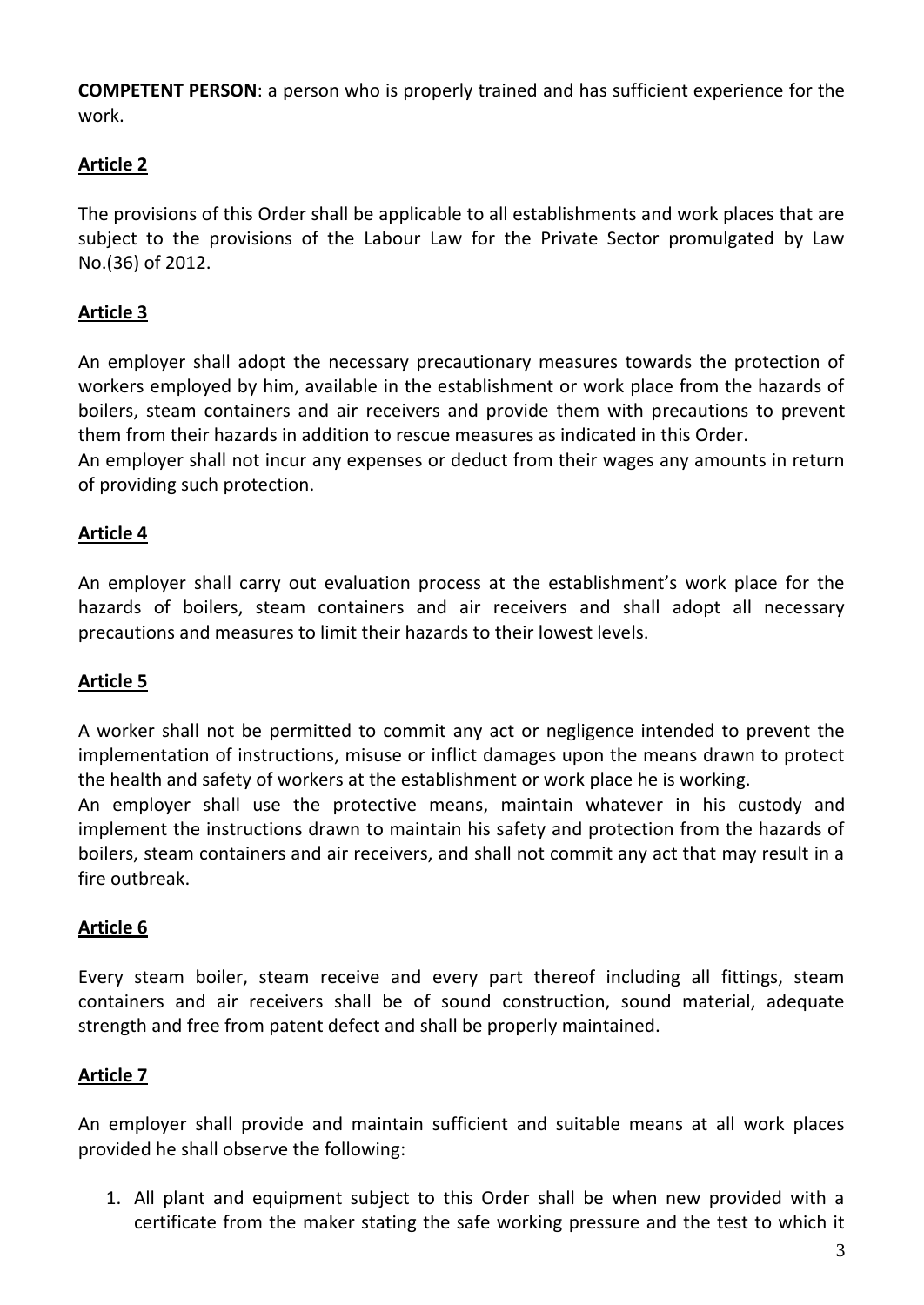**COMPETENT PERSON**: a person who is properly trained and has sufficient experience for the work.

# **Article 2**

The provisions of this Order shall be applicable to all establishments and work places that are subject to the provisions of the Labour Law for the Private Sector promulgated by Law No.(36) of 2012.

# **Article 3**

An employer shall adopt the necessary precautionary measures towards the protection of workers employed by him, available in the establishment or work place from the hazards of boilers, steam containers and air receivers and provide them with precautions to prevent them from their hazards in addition to rescue measures as indicated in this Order.

An employer shall not incur any expenses or deduct from their wages any amounts in return of providing such protection.

# **Article 4**

An employer shall carry out evaluation process at the establishment's work place for the hazards of boilers, steam containers and air receivers and shall adopt all necessary precautions and measures to limit their hazards to their lowest levels.

#### **Article 5**

A worker shall not be permitted to commit any act or negligence intended to prevent the implementation of instructions, misuse or inflict damages upon the means drawn to protect the health and safety of workers at the establishment or work place he is working.

An employer shall use the protective means, maintain whatever in his custody and implement the instructions drawn to maintain his safety and protection from the hazards of boilers, steam containers and air receivers, and shall not commit any act that may result in a fire outbreak.

# **Article 6**

Every steam boiler, steam receive and every part thereof including all fittings, steam containers and air receivers shall be of sound construction, sound material, adequate strength and free from patent defect and shall be properly maintained.

# **Article 7**

An employer shall provide and maintain sufficient and suitable means at all work places provided he shall observe the following:

1. All plant and equipment subject to this Order shall be when new provided with a certificate from the maker stating the safe working pressure and the test to which it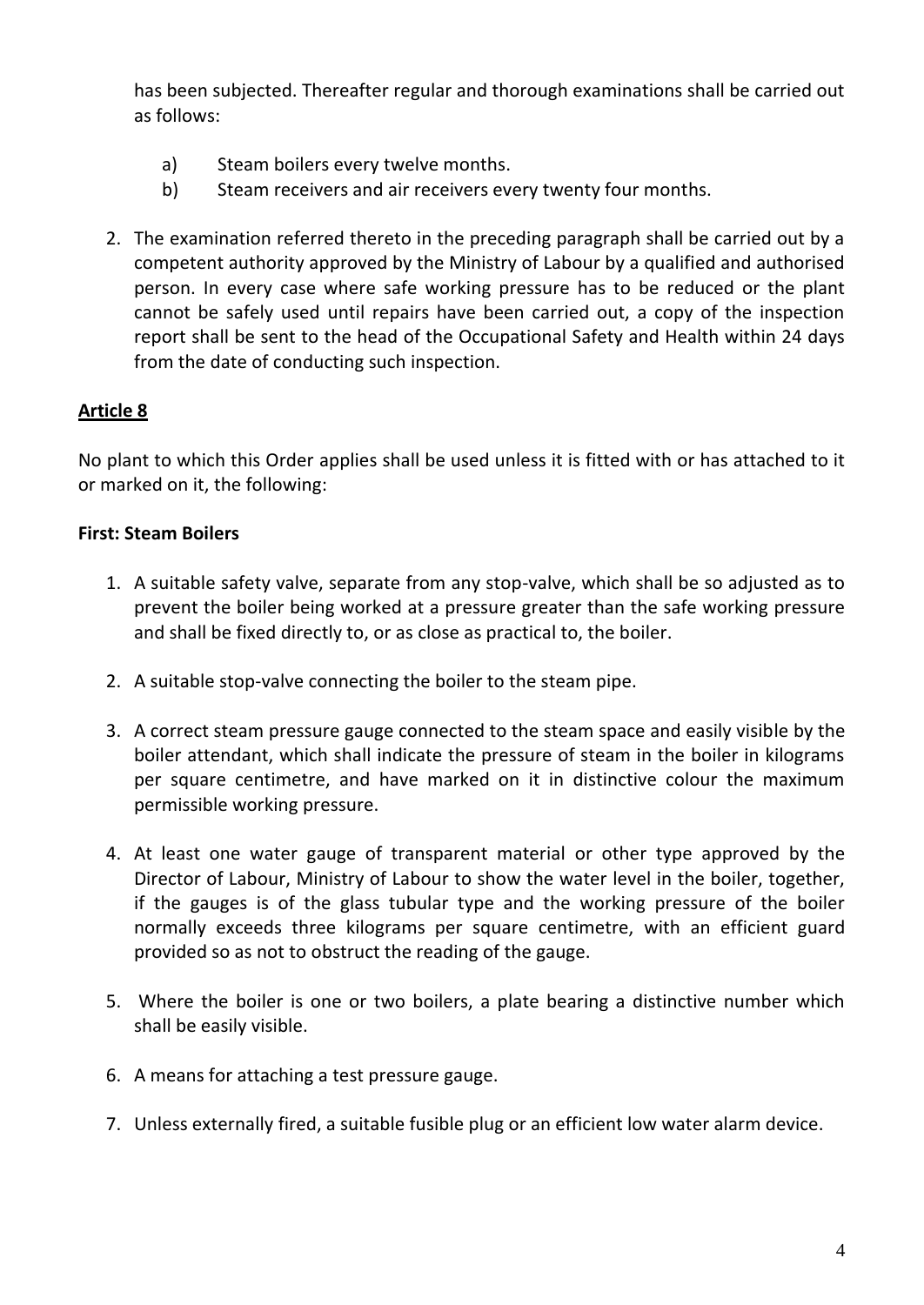has been subjected. Thereafter regular and thorough examinations shall be carried out as follows:

- a) Steam boilers every twelve months.
- b) Steam receivers and air receivers every twenty four months.
- 2. The examination referred thereto in the preceding paragraph shall be carried out by a competent authority approved by the Ministry of Labour by a qualified and authorised person. In every case where safe working pressure has to be reduced or the plant cannot be safely used until repairs have been carried out, a copy of the inspection report shall be sent to the head of the Occupational Safety and Health within 24 days from the date of conducting such inspection.

# **Article 8**

No plant to which this Order applies shall be used unless it is fitted with or has attached to it or marked on it, the following:

### **First: Steam Boilers**

- 1. A suitable safety valve, separate from any stop-valve, which shall be so adjusted as to prevent the boiler being worked at a pressure greater than the safe working pressure and shall be fixed directly to, or as close as practical to, the boiler.
- 2. A suitable stop-valve connecting the boiler to the steam pipe.
- 3. A correct steam pressure gauge connected to the steam space and easily visible by the boiler attendant, which shall indicate the pressure of steam in the boiler in kilograms per square centimetre, and have marked on it in distinctive colour the maximum permissible working pressure.
- 4. At least one water gauge of transparent material or other type approved by the Director of Labour, Ministry of Labour to show the water level in the boiler, together, if the gauges is of the glass tubular type and the working pressure of the boiler normally exceeds three kilograms per square centimetre, with an efficient guard provided so as not to obstruct the reading of the gauge.
- 5. Where the boiler is one or two boilers, a plate bearing a distinctive number which shall be easily visible.
- 6. A means for attaching a test pressure gauge.
- 7. Unless externally fired, a suitable fusible plug or an efficient low water alarm device.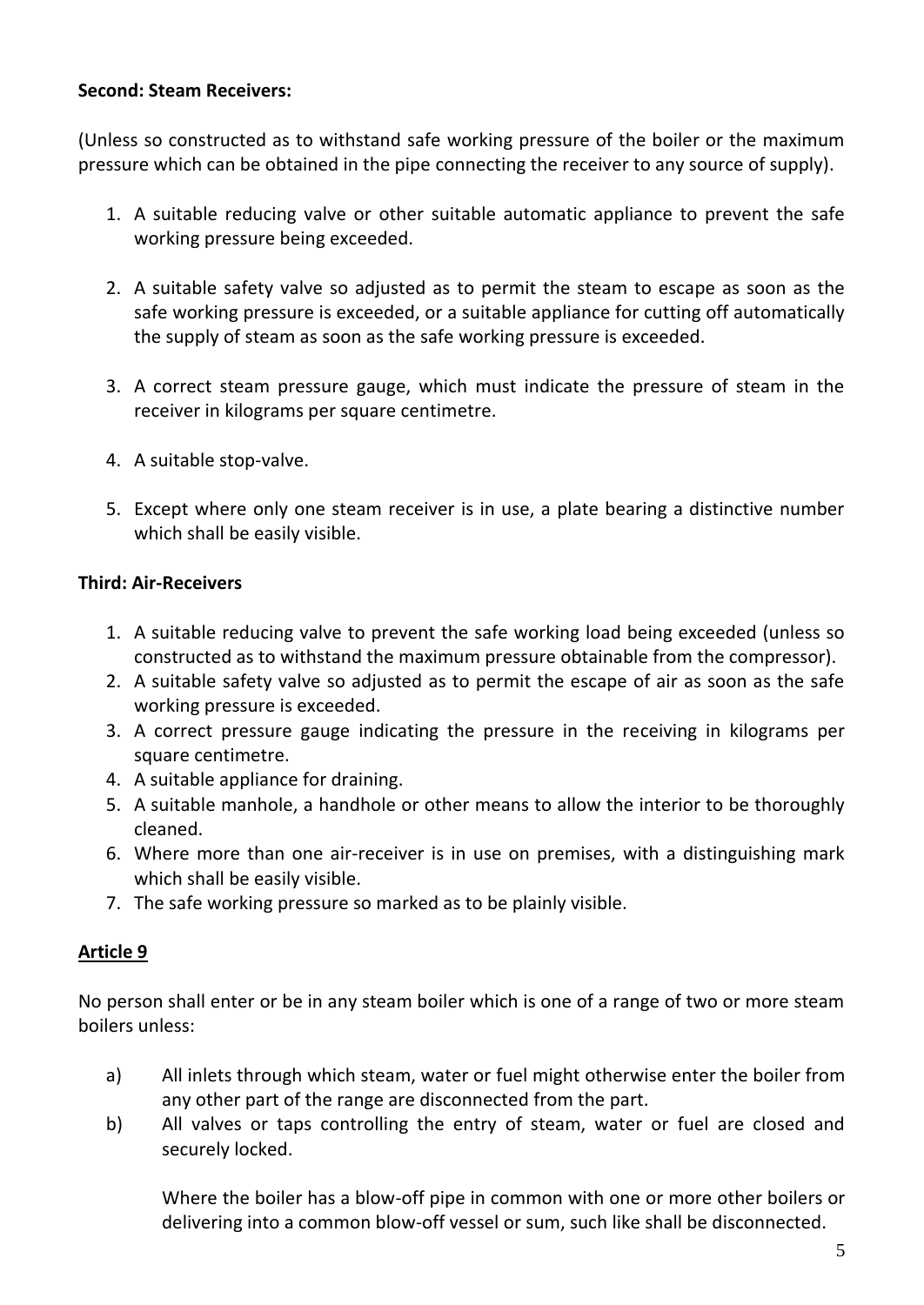#### **Second: Steam Receivers:**

(Unless so constructed as to withstand safe working pressure of the boiler or the maximum pressure which can be obtained in the pipe connecting the receiver to any source of supply).

- 1. A suitable reducing valve or other suitable automatic appliance to prevent the safe working pressure being exceeded.
- 2. A suitable safety valve so adjusted as to permit the steam to escape as soon as the safe working pressure is exceeded, or a suitable appliance for cutting off automatically the supply of steam as soon as the safe working pressure is exceeded.
- 3. A correct steam pressure gauge, which must indicate the pressure of steam in the receiver in kilograms per square centimetre.
- 4. A suitable stop-valve.
- 5. Except where only one steam receiver is in use, a plate bearing a distinctive number which shall be easily visible.

#### **Third: Air-Receivers**

- 1. A suitable reducing valve to prevent the safe working load being exceeded (unless so constructed as to withstand the maximum pressure obtainable from the compressor).
- 2. A suitable safety valve so adjusted as to permit the escape of air as soon as the safe working pressure is exceeded.
- 3. A correct pressure gauge indicating the pressure in the receiving in kilograms per square centimetre.
- 4. A suitable appliance for draining.
- 5. A suitable manhole, a handhole or other means to allow the interior to be thoroughly cleaned.
- 6. Where more than one air-receiver is in use on premises, with a distinguishing mark which shall be easily visible.
- 7. The safe working pressure so marked as to be plainly visible.

# **Article 9**

No person shall enter or be in any steam boiler which is one of a range of two or more steam boilers unless:

- a) All inlets through which steam, water or fuel might otherwise enter the boiler from any other part of the range are disconnected from the part.
- b) All valves or taps controlling the entry of steam, water or fuel are closed and securely locked.

Where the boiler has a blow-off pipe in common with one or more other boilers or delivering into a common blow-off vessel or sum, such like shall be disconnected.